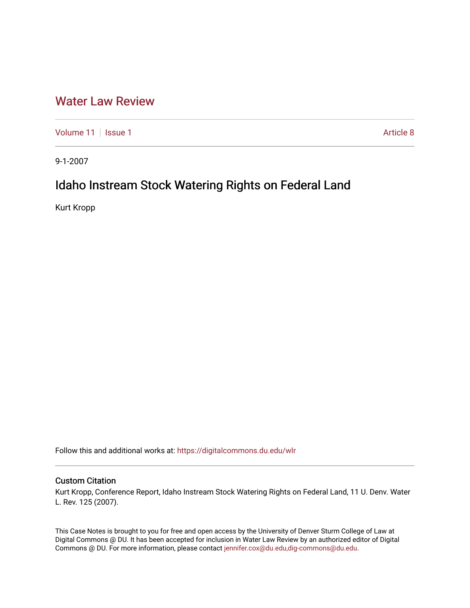# [Water Law Review](https://digitalcommons.du.edu/wlr)

[Volume 11](https://digitalcommons.du.edu/wlr/vol11) | [Issue 1](https://digitalcommons.du.edu/wlr/vol11/iss1) Article 8

9-1-2007

# Idaho Instream Stock Watering Rights on Federal Land

Kurt Kropp

Follow this and additional works at: [https://digitalcommons.du.edu/wlr](https://digitalcommons.du.edu/wlr?utm_source=digitalcommons.du.edu%2Fwlr%2Fvol11%2Fiss1%2F8&utm_medium=PDF&utm_campaign=PDFCoverPages) 

### Custom Citation

Kurt Kropp, Conference Report, Idaho Instream Stock Watering Rights on Federal Land, 11 U. Denv. Water L. Rev. 125 (2007).

This Case Notes is brought to you for free and open access by the University of Denver Sturm College of Law at Digital Commons @ DU. It has been accepted for inclusion in Water Law Review by an authorized editor of Digital Commons @ DU. For more information, please contact [jennifer.cox@du.edu,dig-commons@du.edu.](mailto:jennifer.cox@du.edu,dig-commons@du.edu)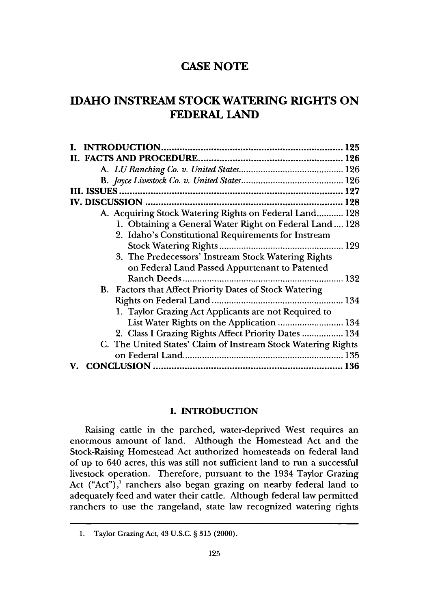## **IDAHO INSTREAM STOCK WATERING RIGHTS ON FEDERAL LAND**

| A. Acquiring Stock Watering Rights on Federal Land 128        |  |
|---------------------------------------------------------------|--|
| 1. Obtaining a General Water Right on Federal Land 128        |  |
| 2. Idaho's Constitutional Requirements for Instream           |  |
|                                                               |  |
| 3. The Predecessors' Instream Stock Watering Rights           |  |
| on Federal Land Passed Appurtenant to Patented                |  |
| Ranch Deeds                                                   |  |
| B. Factors that Affect Priority Dates of Stock Watering       |  |
|                                                               |  |
| 1. Taylor Grazing Act Applicants are not Required to          |  |
| List Water Rights on the Application  134                     |  |
| 2. Class I Grazing Rights Affect Priority Dates  134          |  |
| C. The United States' Claim of Instream Stock Watering Rights |  |
|                                                               |  |
|                                                               |  |

#### **I. INTRODUCTION**

Raising cattle in the parched, water-deprived West requires an enormous amount of land. Although the Homestead Act and the Stock-Raising Homestead Act authorized homesteads on federal land of up to 640 acres, this was still not sufficient land to run a successful livestock operation. Therefore, pursuant to the 1934 Taylor Grazing Act ("Act"),<sup>1</sup> ranchers also began grazing on nearby federal land to adequately feed and water their cattle. Although federal law permitted ranchers to use the rangeland, state law recognized watering rights

<sup>1.</sup> Taylor Grazing Act, 43 U.S.C. § **315** (2000).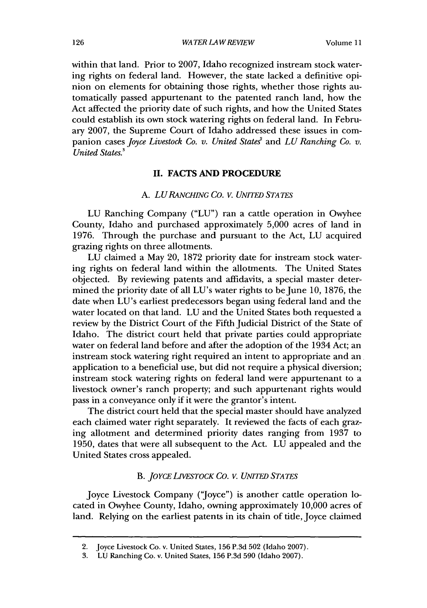within that land. Prior to 2007, Idaho recognized instream stock watering rights on federal land. However, the state lacked a definitive opinion on elements for obtaining those rights, whether those rights automatically passed appurtenant to the patented ranch land, how the Act affected the priority date of such rights, and how the United States could establish its own stock watering rights on federal land. In February 2007, the Supreme Court of Idaho addressed these issues in companion cases *Joyce Livestock Co. v. United States*<sup>2</sup> and *LU Ranching Co. v. United States.3*

#### **II. FACTS AND PROCEDURE**

#### A. *LURANcHING Co. v. UNITED STATES*

LU Ranching Company ("LU") ran a cattle operation in Owyhee County, Idaho and purchased approximately 5,000 acres of land in 1976. Through the purchase and pursuant to the Act, LU acquired grazing rights on three allotments.

LU claimed a May 20, 1872 priority date for instream stock watering rights on federal land within the allotments. The United States objected. By reviewing patents and affidavits, a special master determined the priority date of all LU's water rights to be June 10, 1876, the date when LU's earliest predecessors began using federal land and the water located on that land. LU and the United States both requested a review by the District Court of the Fifth Judicial District of the State of Idaho. The district court held that private parties could appropriate water on federal land before and after the adoption of the 1934 Act; an instream stock watering right required an intent to appropriate and an application to a beneficial use, but did not require a physical diversion; instream stock watering rights on federal land were appurtenant to a livestock owner's ranch property; and such appurtenant rights would pass in a conveyance only if it were the grantor's intent.

The district court held that the special master should have analyzed each claimed water right separately. It reviewed the facts of each grazing allotment and determined priority dates ranging from 1937 to 1950, dates that were all subsequent to the Act. LU appealed and the United States cross appealed.

#### B. *JO YCE LIVESTOCK CO. V. UNITED STATES*

Joyce Livestock Company ('Joyce") is another cattle operation located in Owyhee County, Idaho, owning approximately 10,000 acres of land. Relying on the earliest patents in its chain of title, Joyce claimed

<sup>2.</sup> Joyce Livestock Co. v. United States, 156 P.3d 502 (Idaho 2007).

<sup>3.</sup> LU Ranching Co. v. United States, 156 P.3d 590 (Idaho 2007).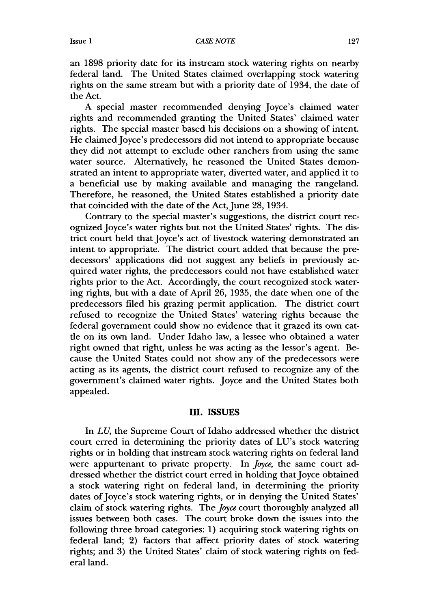an 1898 priority date for its instream stock watering rights on nearby federal land. The United States claimed overlapping stock watering rights on the same stream but with a priority date of 1934, the date of the Act.

A special master recommended denying Joyce's claimed water rights and recommended granting the United States' claimed water rights. The special master based his decisions on a showing of intent. He claimed Joyce's predecessors did not intend to appropriate because they did not attempt to exclude other ranchers from using the same water source. Alternatively, he reasoned the United States demonstrated an intent to appropriate water, diverted water, and applied it to a beneficial use by making available and managing the rangeland. Therefore, he reasoned, the United States established a priority date that coincided with the date of the Act, June 28, 1934.

Contrary to the special master's suggestions, the district court recognized Joyce's water rights but not the United States' rights. The district court held that Joyce's act of livestock watering demonstrated an intent to appropriate. The district court added that because the predecessors' applications did not suggest any beliefs in previously acquired water rights, the predecessors could not have established water rights prior to the Act. Accordingly, the court recognized stock watering rights, but with a date of April 26, 1935, the date when one of the predecessors filed his grazing permit application. The district court refused to recognize the United States' watering rights because the federal government could show no evidence that it grazed its own cattle on its own land. Under Idaho law, a lessee who obtained a water right owned that right, unless he was acting as the lessor's agent. Because the United States could not show any of the predecessors were acting as its agents, the district court refused to recognize any of the government's claimed water rights. Joyce and the United States both appealed.

#### **11. ISSUES**

In *LU,* the Supreme Court of Idaho addressed whether the district court erred in determining the priority dates of LU's stock watering rights or in holding that instream stock watering rights on federal land were appurtenant to private property. In Joyce, the same court addressed whether the district court erred in holding that Joyce obtained a stock watering right on federal land, in determining the priority dates of Joyce's stock watering rights, or in denying the United States' claim of stock watering rights. The Joyce court thoroughly analyzed all issues between both cases. The court broke down the issues into the following three broad categories: 1) acquiring stock watering rights on federal land; 2) factors that affect priority dates of stock watering rights; and 3) the United States' claim of stock watering rights on federal land.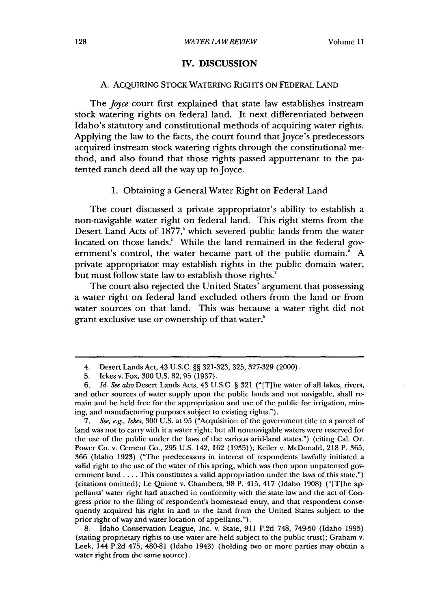#### **IV. DISCUSSION**

#### A. ACQUIRING STOCK WATERING RIGHTS **ON** FEDERAL **LAND**

The *Joyce* court first explained that state law establishes instream stock watering rights on federal land. It next differentiated between Idaho's statutory and constitutional methods of acquiring water rights. Applying the law to the facts, the court found that  $\overline{I}$  oyce's predecessors acquired instream stock watering rights through the constitutional method, and also found that those rights passed appurtenant to the patented ranch deed all the way up to Joyce.

#### **1.** Obtaining a General Water Right on Federal Land

The court discussed a private appropriator's ability to establish a non-navigable water right on federal land. This right stems from the Desert Land Acts of **1877,'** which severed public lands from the water located on those lands.<sup>5</sup> While the land remained in the federal government's control, the water became part of the public domain.' **A** private appropriator may establish rights in the public domain water, but must follow state law to establish those rights.<sup>7</sup>

The court also rejected the United States' argument that possessing a water right on federal land excluded others from the land or from water sources on that land. This was because a water right did not grant exclusive use or ownership of that water.<sup>8</sup>

7. *See, e.g., Ickes,* 300 U.S. at 95 ("Acquisition of the government title to a parcel of land was not to carry with it a water right; but all nonnavigable waters were reserved for the use of the public under the laws of the various arid-land states.") (citing Cal. Or. Power Co. v. Cement Co., 295 U.S. 142, 162 (1935)); Keiler v. McDonald, 218 P. 365, 366 (Idaho 1923) ("The predecessors in interest of respondents lawfully initiated a valid right to the use of the water of this spring, which was then upon unpatented government land . . . . This constitutes a valid appropriation under the laws of this state.") (citations omitted); Le Quime v. Chambers, 98 P. 415, 417 (Idaho 1908) ("[T]he appellants' water right had attached in conformity with the state law and the act of Congress prior to the filing of respondent's homestead entry, and that respondent consequently acquired his right in and to the land from the United States subject to the prior right of way and water location of appellants.").

8. Idaho Conservation League, Inc. v. State, 911 P.2d 748, 749-50 (Idaho 1995) (stating proprietary rights to use water are held subject to the public trust); Graham v. Leek, 144 P.2d 475, 480-81 (Idaho 1943) (holding two or more parties may obtain a water right from the same source).

<sup>4.</sup> Desert Lands Act, 43 U.S.C. **§§** 321-323, 325, 327-329 (2000).

<sup>5.</sup> Ickes v. Fox, 300 U.S. 82, 95 (1937).

**<sup>6.</sup>** *Id. See also* Desert Lands Acts, 43 U.S.C. § 321 ("[T] he water of all lakes, rivers, and other sources of water supply upon the public lands and not navigable, shall remain and be held free for the appropriation and use of the public for irrigation, mining, and manufacturing purposes subject to existing rights.").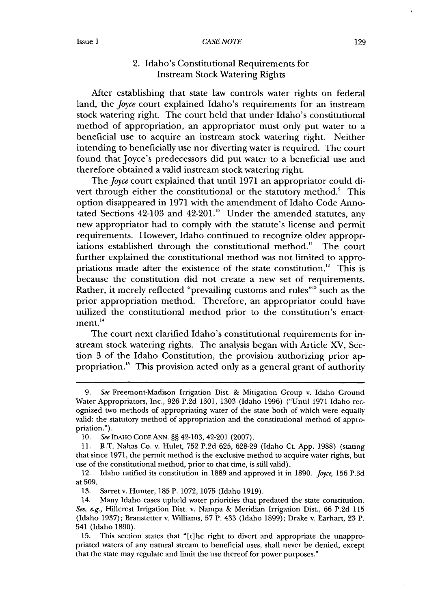#### **Issue I**

#### 2. Idaho's Constitutional Requirements for Instream Stock Watering Rights

After establishing that state law controls water rights on federal land, the Joyce court explained Idaho's requirements for an instream stock watering right. The court held that under Idaho's constitutional method of appropriation, an appropriator must only put water to a beneficial use to acquire an instream stock watering right. Neither intending to beneficially use nor diverting water is required. The court found that Joyce's predecessors did put water to a beneficial use and therefore obtained a valid instream stock watering right.

The Joyce court explained that until **1971** an appropriator could divert through either the constitutional or the statutory method.<sup>9</sup> This option disappeared in **1971** with the amendment of Idaho Code Annotated Sections 42-103 and 42-201."° Under the amended statutes, any new appropriator had to comply with the statute's license and permit requirements. However, Idaho continued to recognize older appropriations established through the constitutional method.<sup>11</sup> The court further explained the constitutional method was not limited to appropriations made after the existence of the state constitution.<sup>12</sup> This is because the constitution did not create a new set of requirements. Rather, it merely reflected "prevailing customs and rules"<sup>13</sup> such as the prior appropriation method. Therefore, an appropriator could have utilized the constitutional method prior to the constitution's enact $ment.<sup>14</sup>$ 

The court next clarified Idaho's constitutional requirements for instream stock watering rights. The analysis began with Article XV, Section **3** of the Idaho Constitution, the provision authorizing prior **ap**propriation."5 This provision acted only as a general grant of authority

*<sup>9.</sup> See* Freemont-Madison Irrigation Dist. **&** Mitigation Group v. Idaho Ground Water Appropriators, Inc., **926 P.2d 1301, 1303** (Idaho **1996)** ("Until **1971** Idaho recognized two methods of appropriating water of the state both of which were equally valid: the statutory method of appropriation and the constitutional method of appropriation.").

**<sup>10.</sup>** See **IDAHO CODE ANN. §§** 42-103, 42-201 **(2007).**

**<sup>11.</sup>** R.T. Nahas Co. v. Hulet, **752 P.2d 625, 628-29** (Idaho Ct. **App. 1988)** (stating that since **1971,** the permit method is the exclusive method to acquire water rights, but use of the constitutional method, prior to that time, is still valid).

<sup>12.</sup> Idaho ratified its constitution in **1889** and approved it in **1890.** *Joyce,* **156 P.3d** at **509.**

**<sup>13.</sup>** Sarret v. Hunter, **185** P. **1072, 1075** (Idaho **1919).**

<sup>14.</sup> Many Idaho cases upheld water priorities that predated the state constitution. *See, e.g.,* Hillcrest Irrigation Dist. v. Nampa **&** Meridian Irrigation Dist., **66 P.2d 115** (Idaho **1937);** Branstetter v. Williams, **57** P. 433 (Idaho **1899);** Drake v. Earhart, **23** P. 541 (Idaho **1890).**

**<sup>15.</sup>** This section states that "[t]he right to divert and appropriate the unappropriated waters of any natural stream to beneficial uses, shall never be denied, except that the state may regulate and limit the use thereof for power purposes."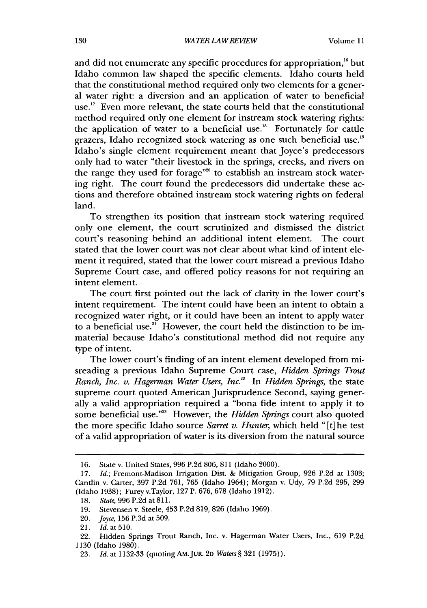and did not enumerate any specific procedures for appropriation,<sup>16</sup> but Idaho common law shaped the specific elements. Idaho courts held that the constitutional method required only two elements for a general water right: a diversion and an application of water to beneficial use." Even more relevant, the state courts held that the constitutional method required only one element for instream stock watering rights: the application of water to a beneficial use."6 Fortunately for cattle grazers, Idaho recognized stock watering as one such beneficial use.<sup>19</sup> Idaho's single element requirement meant that Joyce's predecessors only had to water "their livestock in the springs, creeks, and rivers on the range they used for forage"<sup>20</sup> to establish an instream stock watering right. The court found the predecessors did undertake these actions and therefore obtained instream stock watering rights on federal land.

To strengthen its position that instream stock watering required only one element, the court scrutinized and dismissed the district court's reasoning behind an additional intent element. The court stated that the lower court was not clear about what kind of intent element it required, stated that the lower court misread a previous Idaho Supreme Court case, and offered policy reasons for not requiring an intent element.

The court first pointed out the lack of clarity in the lower court's intent requirement. The intent could have been an intent to obtain a recognized water right, or it could have been an intent to apply water to a beneficial use.<sup>21</sup> However, the court held the distinction to be immaterial because Idaho's constitutional method did not require any type of intent.

The lower court's finding of an intent element developed from misreading a previous Idaho Supreme Court case, *Hidden Springs Trout Ranch, Inc. v. Hagerman Water Users, Inc.2 "* In *Hidden Springs,* the state supreme court quoted American Jurisprudence Second, saying generally a valid appropriation required a "bona fide intent to apply it to some beneficial use."<sup>23</sup> However, the *Hidden Springs* court also quoted the more specific Idaho source *Sarret v. Hunter,* which held "[t]he test of a valid appropriation of water is its diversion from the natural source

<sup>16.</sup> State v. United States, 996 P.2d 806, 811 (Idaho 2000).

<sup>17.</sup> *Id.;* Fremont-Madison Irrigation Dist. & Mitigation Group, 926 P.2d at 1303; Cantlin v. Carter, 397 P.2d 761, 765 (Idaho 1964); Morgan v. Udy, 79 P.2d 295, 299 (Idaho 1938); Furey v.Taylor, 127 P. 676, 678 (Idaho 1912).

<sup>18.</sup> *State,* 996 P.2d at 811.

<sup>19.</sup> Stevensen v. Steele, 453 P.2d 819, 826 (Idaho 1969).

<sup>20.</sup> Joyce, 156 P.3d at 509.

<sup>21.</sup> *Id.* at510.

<sup>22.</sup> Hidden Springs Trout Ranch, Inc. v. Hagerman Water Users, Inc., 619 P.2d 1130 (Idaho 1980).

<sup>23.</sup> *Id.* at 1132-33 (quoting AM.JUR. 2D *Waters§* 321 (1975)).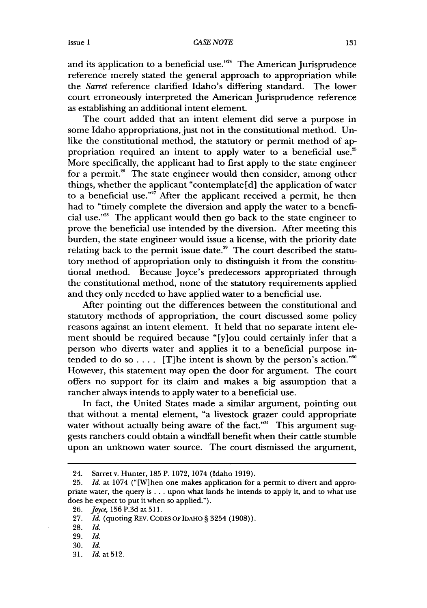and its application to a beneficial use."<sup>24</sup> The American Jurisprudence reference merely stated the general approach to appropriation while the Sarret reference clarified Idaho's differing standard. The lower court erroneously interpreted the American Jurisprudence reference as establishing an additional intent element.

The court added that an intent element did serve a purpose in some Idaho appropriations, just not in the constitutional method. Unlike the constitutional method, the statutory or permit method of appropriation required an intent to apply water to a beneficial use.<sup>25</sup> More specifically, the applicant had to first apply to the state engineer for a permit.<sup>26</sup> The state engineer would then consider, among other things, whether the applicant "contemplate [d] the application of water to a beneficial use."<sup>27</sup> After the applicant received a permit, he then had to "timely complete the diversion and apply the water to a beneficial use."<sup>28</sup> The applicant would then go back to the state engineer to prove the beneficial use intended by the diversion. After meeting this burden, the state engineer would issue a license, with the priority date relating back to the permit issue date. $^{\infty}$  The court described the statutory method of appropriation only to distinguish it from the constitutional method. Because Joyce's predecessors appropriated through the constitutional method, none of the statutory requirements applied and they only needed to have applied water to a beneficial use.

After pointing out the differences between the constitutional and statutory methods of appropriation, the court discussed some policy reasons against an intent element. It held that no separate intent element should be required because "[y]ou could certainly infer that a person who diverts water and applies it to a beneficial purpose intended to do so  $\dots$  [T] he intent is shown by the person's action."<sup>30</sup> However, this statement may open the door for argument. The court offers no support for its claim and makes a big assumption that a rancher always intends to apply water to a beneficial use.

In fact, the United States made a similar argument, pointing out that without a mental element, "a livestock grazer could appropriate water without actually being aware of the fact."<sup>31</sup> This argument suggests ranchers could obtain a windfall benefit when their cattle stumble upon an unknown water source. The court dismissed the argument,

<sup>24.</sup> Sarretv. Hunter, 185 P. 1072, 1074 (Idaho 1919).

<sup>25.</sup> *Id.* at 1074 ("[Wlhen one makes application for a permit to divert and appropriate water, the query is... upon what lands he intends to apply it, and to what use does he expect to put it when so applied.").

<sup>26.</sup> Joyce, 156 P.3d at 511.

<sup>27.</sup> *Id.* (quoting REv. **CODES** OF IDAHO § 3254 (1908)).

<sup>28.</sup> *Id.*

<sup>29.</sup> *Id.*

<sup>30.</sup> *Id.*

<sup>31.</sup> *Id.* at 512.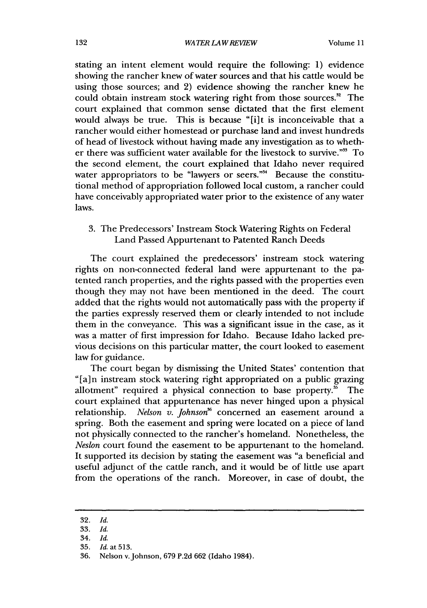stating an intent element would require the following: 1) evidence showing the rancher knew of water sources and that his cattle would be using those sources; and 2) evidence showing the rancher knew he could obtain instream stock watering right from those sources.<sup>32</sup> The court explained that common sense dictated that the first element would always be true. This is because "[i]t is inconceivable that a rancher would either homestead or purchase land and invest hundreds of head of livestock without having made any investigation as to whether there was sufficient water available for the livestock to survive."<sup>33</sup> To the second element, the court explained that Idaho never required water appropriators to be "lawyers or seers."<sup>34</sup> Because the constitutional method of appropriation followed local custom, a rancher could have conceivably appropriated water prior to the existence of any water laws.

3. The Predecessors' Instream Stock Watering Rights on Federal Land Passed Appurtenant to Patented Ranch Deeds

The court explained the predecessors' instream stock watering rights on non-connected federal land were appurtenant to the patented ranch properties, and the rights passed with the properties even though they may not have been mentioned in the deed. The court added that the rights would not automatically pass with the property if the parties expressly reserved them or clearly intended to not include them in the conveyance. This was a significant issue in the case, as it was a matter of first impression for Idaho. Because Idaho lacked previous decisions on this particular matter, the court looked to easement law for guidance.

The court began by dismissing the United States' contention that "[a]n instream stock watering right appropriated on a public grazing allotment" required a physical connection to base property. $\frac{1}{20}$  The court explained that appurtenance has never hinged upon a physical relationship. *Nelson v. Johnson*<sup>86</sup> concerned an easement around a spring. Both the easement and spring were located on a piece of land not physically connected to the rancher's homeland. Nonetheless, the *Neslon* court found the easement to be appurtenant to the homeland. It supported its decision by stating the easement was "a beneficial and useful adjunct of the cattle ranch, and it would be of little use apart from the operations of the ranch. Moreover, in case of doubt, the

<sup>32.</sup> *Id.*

<sup>33.</sup> *Id.*

<sup>34.</sup> *Id.*

<sup>35.</sup> *Id. at* 513.

<sup>36.</sup> Nelson v.Johnson, 679 P.2d 662 (Idaho 1984).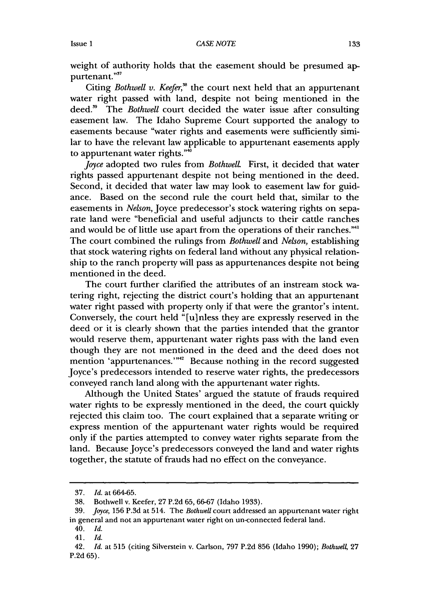weight of authority holds that the easement should be presumed appurtenant."<sup>57</sup>

Citing *Bothwell v. Keefer*,<sup>38</sup> the court next held that an appurtenant water right passed with land, despite not being mentioned in the deed.<sup>39</sup> The *Bothwell* court decided the water issue after consulting easement law. The Idaho Supreme Court supported the analogy to easements because "water rights and easements were sufficiently similar to have the relevant law applicable to appurtenant easements apply to appurtenant water rights."'

*Joyce* adopted two rules from *Bothwell*. First, it decided that water rights passed appurtenant despite not being mentioned in the deed. Second, it decided that water law may look to easement law for guidance. Based on the second rule the court held that, similar to the easements in *Nelson,* Joyce predecessor's stock watering rights on separate land were "beneficial and useful adjuncts to their cattle ranches and would be of little use apart from the operations of their ranches."4' The court combined the rulings from *Bothwell* and *Nelson,* establishing that stock watering rights on federal land without any physical relationship to the ranch property will pass as appurtenances despite not being mentioned in the deed.

The court further clarified the attributes of an instream stock watering right, rejecting the district court's holding that an appurtenant water right passed with property only if that were the grantor's intent. Conversely, the court held "[u]nless they are expressly reserved in the deed or it is clearly shown that the parties intended that the grantor would reserve them, appurtenant water rights pass with the land even though they are not mentioned in the deed and the deed does not mention 'appurtenances.'"<sup>2</sup> Because nothing in the record suggested Joyce's predecessors intended to reserve water rights, the predecessors conveyed ranch land along with the appurtenant water rights.

Although the United States' argued the statute of frauds required water rights to be expressly mentioned in the deed, the court quickly rejected this claim too. The court explained that a separate writing or express mention of the appurtenant water rights would be required only if the parties attempted to convey water rights separate from the land. Because Joyce's predecessors conveyed the land and water rights together, the statute of frauds had no effect on the conveyance.

<sup>37.</sup> *Id.* at 664-65.

<sup>38.</sup> Bothwell v. Keefer, 27 P.2d 65, 66-67 (Idaho 1933).

<sup>39.</sup> *Joyce,* 156 P.3d at 514. The *Bothwell* court addressed an appurtenant water right in general and not an appurtenant water right on un-connected federal land.

<sup>40.</sup> *Id.*

<sup>41.</sup> *Id.*

<sup>42.</sup> *Id.* at 515 (citing Silverstein v. Carlson, 797 P.2d 856 (Idaho 1990); *Bothwel4* 27 P.2d 65).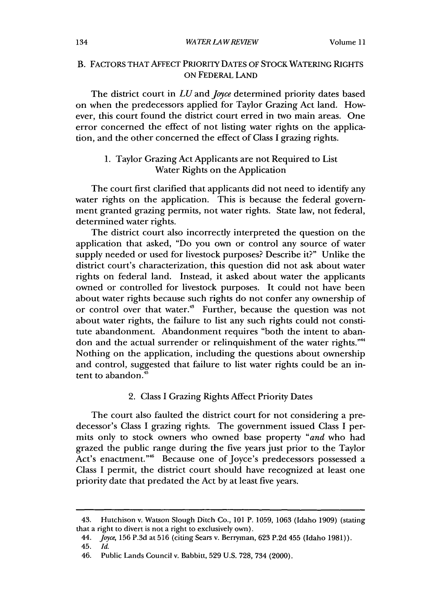#### *WATER LAW REVIEW*

## B. FACTORS THAT AFFECT PRIORITY DATES OF STOCK WATERING RIGHTS ON FEDERAL LAND

The district court in *LU* and *Joyce* determined priority dates based on when the predecessors applied for Taylor Grazing Act land. However, this court found the district court erred in two main areas. One error concerned the effect of not listing water rights on the application, and the other concerned the effect of Class I grazing rights.

## 1. Taylor Grazing Act Applicants are not Required to List Water Rights on the Application

The court first clarified that applicants did not need to identify any water rights on the application. This is because the federal government granted grazing permits, not water rights. State law, not federal, determined water rights.

The district court also incorrectly interpreted the question on the application that asked, "Do you own or control any source of water supply needed or used for livestock purposes? Describe it?" Unlike the district court's characterization, this question did not ask about water rights on federal land. Instead, it asked about water the applicants owned or controlled for livestock purposes. It could not have been about water rights because such rights do not confer any ownership of or control over that water." Further, because the question was not about water rights, the failure to list any such rights could not constitute abandonment. Abandonment requires "both the intent to abandon and the actual surrender or relinquishment of the water rights."" Nothing on the application, including the questions about ownership and control, suggested that failure to list water rights could be an intent to abandon."

### 2. Class I Grazing Rights Affect Priority Dates

The court also faulted the district court for not considering a predecessor's Class I grazing fights. The government issued Class I permits only to stock owners who owned base property *"and* who had grazed the public range during the five years just prior to the Taylor Act's enactment."<sup>46</sup> Because one of Joyce's predecessors possessed a Class I permit, the district court should have recognized at least one priority date that predated the Act by at least five years.

<sup>43.</sup> Hutchison v. Watson Slough Ditch Co., 101 P. 1059, 1063 (Idaho 1909) (stating that a right to divert is not a right to exclusively own).

*<sup>44.</sup>* Joyce, 156 P.3d at 516 (citing Sears v. Berryman, 623 P.2d 455 (Idaho 1981)).

<sup>45.</sup> *Id.*

<sup>46.</sup> Public Lands Council v. Babbitt, 529 U.S. 728, 734 (2000).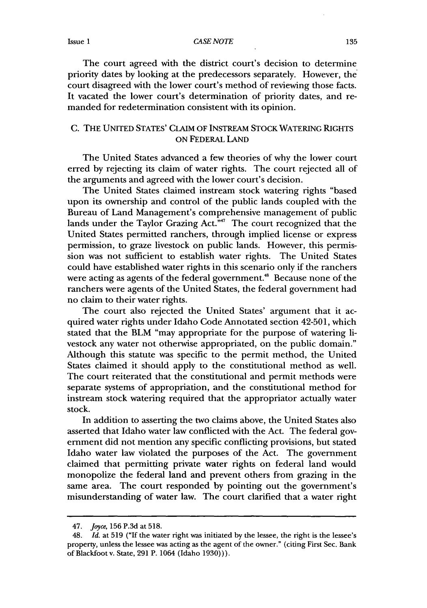The court agreed with the district court's decision to determine priority dates by looking at the predecessors separately. However, the court disagreed with the lower court's method of reviewing those facts. It vacated the lower court's determination of priority dates, and remanded for redetermination consistent with its opinion.

### **C.** THE UNITED STATES' CLAIM OF INSTREAM STOCK WATERING RIGHTS **ON** FEDERAL **LAND**

The United States advanced a few theories of why the lower court erred **by** rejecting its claim of water rights. The court rejected all of the arguments and agreed with the lower court's decision.

The United States claimed instream stock watering rights "based upon its ownership and control of the public lands coupled with the Bureau of Land Management's comprehensive management of public lands under the Taylor Grazing Act."<sup>47</sup> The court recognized that the United States permitted ranchers, through implied license or express permission, to graze livestock on public lands. However, this permission was not sufficient to establish water rights. The United States could have established water rights in this scenario only if the ranchers were acting as agents of the federal government.<sup>48</sup> Because none of the ranchers were agents of the United States, the federal government had no claim to their water rights.

The court also rejected the United States' argument that it **ac**quired water rights under Idaho Code Annotated section 42-501, which stated that the BLM "may appropriate for the purpose of watering livestock any water not otherwise appropriated, on the public domain." Although this statute was specific to the permit method, the United States claimed it should apply to the constitutional method as well. The court reiterated that the constitutional and permit methods were separate systems of appropriation, and the constitutional method for instream stock watering required that the appropriator actually water stock.

In addition to asserting the two claims above, the United States also asserted that Idaho water law conflicted with the Act. The federal government did not mention any specific conflicting provisions, but stated Idaho water law violated the purposes of the Act. The government claimed that permitting private water rights on federal land would monopolize the federal land and prevent others from grazing in the same area. The court responded by pointing out the government's misunderstanding of water law. The court clarified that a water right

<sup>47.</sup> Joyce, 156 P.3d at **518.**

<sup>48.</sup> *Id.* at 519 ("If the water right was initiated by the lessee, the right is the lessee's property, unless the lessee was acting as the agent of the owner." (citing First Sec. Bank of Blackfoot v. State, 291 P. 1064 (Idaho 1930))).